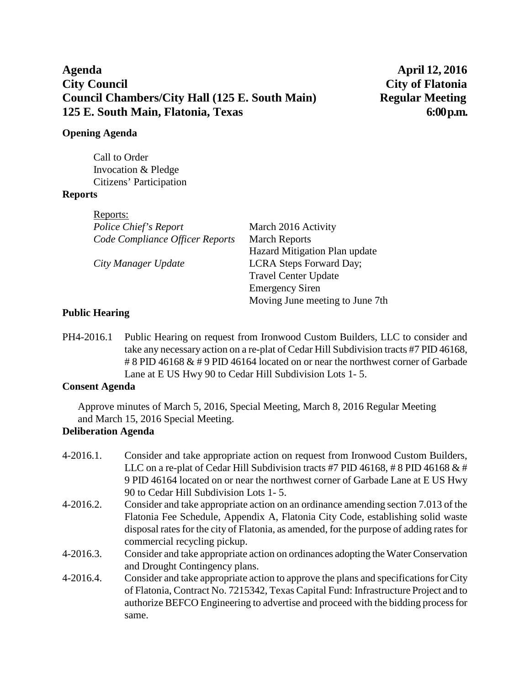# **Agenda April 12, 2016 City Council City of Flatonia Council Chambers/City Hall (125 E. South Main) Regular Meeting 125 E. South Main, Flatonia, Texas 6:00 p.m.**

## **Opening Agenda**

Call to Order Invocation & Pledge Citizens' Participation

## **Reports**

| Reports:                        |                                 |
|---------------------------------|---------------------------------|
| Police Chief's Report           | March 2016 Activity             |
| Code Compliance Officer Reports | <b>March Reports</b>            |
|                                 | Hazard Mitigation Plan update   |
| City Manager Update             | LCRA Steps Forward Day;         |
|                                 | <b>Travel Center Update</b>     |
|                                 | <b>Emergency Siren</b>          |
|                                 | Moving June meeting to June 7th |

## **Public Hearing**

PH4-2016.1 Public Hearing on request from Ironwood Custom Builders, LLC to consider and take any necessary action on a re-plat of Cedar Hill Subdivision tracts #7 PID 46168, # 8 PID 46168 & # 9 PID 46164 located on or near the northwest corner of Garbade Lane at E US Hwy 90 to Cedar Hill Subdivision Lots 1- 5.

## **Consent Agenda**

Approve minutes of March 5, 2016, Special Meeting, March 8, 2016 Regular Meeting and March 15, 2016 Special Meeting.

## **Deliberation Agenda**

- 4-2016.1. Consider and take appropriate action on request from Ironwood Custom Builders, LLC on a re-plat of Cedar Hill Subdivision tracts #7 PID 46168, #8 PID 46168 & # 9 PID 46164 located on or near the northwest corner of Garbade Lane at E US Hwy 90 to Cedar Hill Subdivision Lots 1- 5.
- 4-2016.2. Consider and take appropriate action on an ordinance amending section 7.013 of the Flatonia Fee Schedule, Appendix A, Flatonia City Code, establishing solid waste disposal rates for the city of Flatonia, as amended, for the purpose of adding rates for commercial recycling pickup.
- 4-2016.3. Consider and take appropriate action on ordinances adopting the Water Conservation and Drought Contingency plans.
- 4-2016.4. Consider and take appropriate action to approve the plans and specifications for City of Flatonia, Contract No. 7215342, Texas Capital Fund: Infrastructure Project and to authorize BEFCO Engineering to advertise and proceed with the bidding process for same.